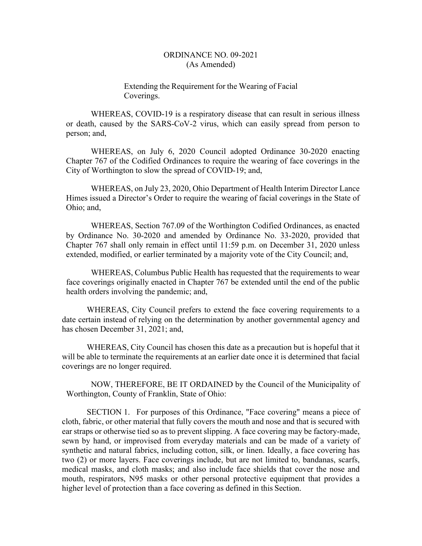## Extending the Requirement for the Wearing of Facial Coverings.

WHEREAS, COVID-19 is a respiratory disease that can result in serious illness or death, caused by the SARS-CoV-2 virus, which can easily spread from person to person; and,

WHEREAS, on July 6, 2020 Council adopted Ordinance 30-2020 enacting Chapter 767 of the Codified Ordinances to require the wearing of face coverings in the City of Worthington to slow the spread of COVID-19; and,

WHEREAS, on July 23, 2020, Ohio Department of Health Interim Director Lance Himes issued a Director's Order to require the wearing of facial coverings in the State of Ohio; and,

WHEREAS, Section 767.09 of the Worthington Codified Ordinances, as enacted by Ordinance No. 30-2020 and amended by Ordinance No. 33-2020, provided that Chapter 767 shall only remain in effect until 11:59 p.m. on December 31, 2020 unless extended, modified, or earlier terminated by a majority vote of the City Council; and,

WHEREAS, Columbus Public Health has requested that the requirements to wear face coverings originally enacted in Chapter 767 be extended until the end of the public health orders involving the pandemic; and,

WHEREAS, City Council prefers to extend the face covering requirements to a date certain instead of relying on the determination by another governmental agency and has chosen December 31, 2021; and,

WHEREAS, City Council has chosen this date as a precaution but is hopeful that it will be able to terminate the requirements at an earlier date once it is determined that facial coverings are no longer required.

NOW, THEREFORE, BE IT ORDAINED by the Council of the Municipality of Worthington, County of Franklin, State of Ohio:

SECTION 1. For purposes of this Ordinance, "Face covering" means a piece of cloth, fabric, or other material that fully covers the mouth and nose and that is secured with ear straps or otherwise tied so as to prevent slipping. A face covering may be factory-made, sewn by hand, or improvised from everyday materials and can be made of a variety of synthetic and natural fabrics, including cotton, silk, or linen. Ideally, a face covering has two (2) or more layers. Face coverings include, but are not limited to, bandanas, scarfs, medical masks, and cloth masks; and also include face shields that cover the nose and mouth, respirators, N95 masks or other personal protective equipment that provides a higher level of protection than a face covering as defined in this Section.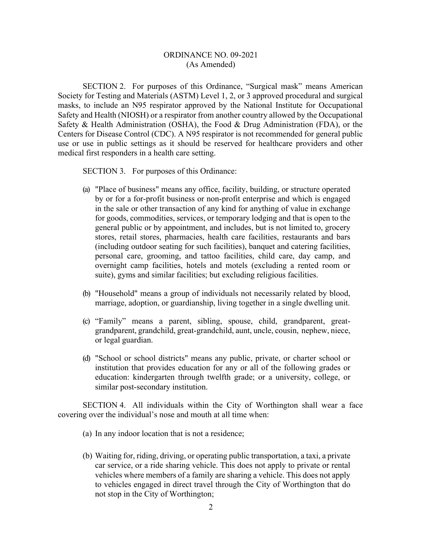SECTION 2. For purposes of this Ordinance, "Surgical mask" means American Society for Testing and Materials (ASTM) Level 1, 2, or 3 approved procedural and surgical masks, to include an N95 respirator approved by the National Institute for Occupational Safety and Health (NIOSH) or a respirator from another country allowed by the Occupational Safety & Health Administration (OSHA), the Food & Drug Administration (FDA), or the Centers for Disease Control (CDC). A N95 respirator is not recommended for general public use or use in public settings as it should be reserved for healthcare providers and other medical first responders in a health care setting.

SECTION 3. For purposes of this Ordinance:

- (a) "Place of business" means any office, facility, building, or structure operated by or for a for-profit business or non-profit enterprise and which is engaged in the sale or other transaction of any kind for anything of value in exchange for goods, commodities, services, or temporary lodging and that is open to the general public or by appointment, and includes, but is not limited to, grocery stores, retail stores, pharmacies, health care facilities, restaurants and bars (including outdoor seating for such facilities), banquet and catering facilities, personal care, grooming, and tattoo facilities, child care, day camp, and overnight camp facilities, hotels and motels (excluding a rented room or suite), gyms and similar facilities; but excluding religious facilities.
- (b) "Household" means a group of individuals not necessarily related by blood, marriage, adoption, or guardianship, living together in a single dwelling unit.
- (c) "Family" means a parent, sibling, spouse, child, grandparent, greatgrandparent, grandchild, great-grandchild, aunt, uncle, cousin, nephew, niece, or legal guardian.
- (d) "School or school districts" means any public, private, or charter school or institution that provides education for any or all of the following grades or education: kindergarten through twelfth grade; or a university, college, or similar post-secondary institution.

SECTION 4. All individuals within the City of Worthington shall wear a face covering over the individual's nose and mouth at all time when:

- (a) In any indoor location that is not a residence;
- (b) Waiting for, riding, driving, or operating public transportation, a taxi, a private car service, or a ride sharing vehicle. This does not apply to private or rental vehicles where members of a family are sharing a vehicle. This does not apply to vehicles engaged in direct travel through the City of Worthington that do not stop in the City of Worthington;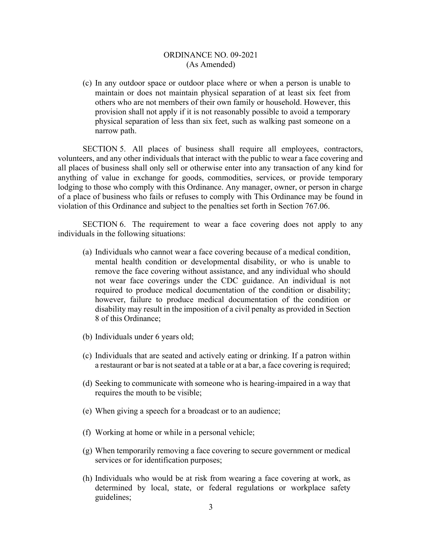(c) In any outdoor space or outdoor place where or when a person is unable to maintain or does not maintain physical separation of at least six feet from others who are not members of their own family or household. However, this provision shall not apply if it is not reasonably possible to avoid a temporary physical separation of less than six feet, such as walking past someone on a narrow path.

SECTION 5. All places of business shall require all employees, contractors, volunteers, and any other individuals that interact with the public to wear a face covering and all places of business shall only sell or otherwise enter into any transaction of any kind for anything of value in exchange for goods, commodities, services, or provide temporary lodging to those who comply with this Ordinance. Any manager, owner, or person in charge of a place of business who fails or refuses to comply with This Ordinance may be found in violation of this Ordinance and subject to the penalties set forth in Section 767.06.

SECTION 6. The requirement to wear a face covering does not apply to any individuals in the following situations:

- (a) Individuals who cannot wear a face covering because of a medical condition, mental health condition or developmental disability, or who is unable to remove the face covering without assistance, and any individual who should not wear face coverings under the CDC guidance. An individual is not required to produce medical documentation of the condition or disability; however, failure to produce medical documentation of the condition or disability may result in the imposition of a civil penalty as provided in Section 8 of this Ordinance;
- (b) Individuals under 6 years old;
- (c) Individuals that are seated and actively eating or drinking. If a patron within a restaurant or bar is not seated at a table or at a bar, a face covering is required;
- (d) Seeking to communicate with someone who is hearing-impaired in a way that requires the mouth to be visible;
- (e) When giving a speech for a broadcast or to an audience;
- (f) Working at home or while in a personal vehicle;
- (g) When temporarily removing a face covering to secure government or medical services or for identification purposes;
- (h) Individuals who would be at risk from wearing a face covering at work, as determined by local, state, or federal regulations or workplace safety guidelines;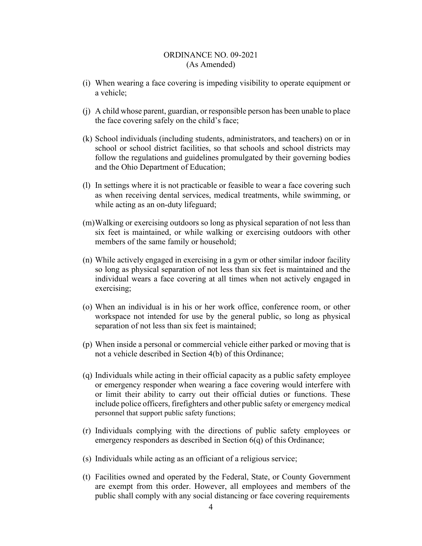- (i) When wearing a face covering is impeding visibility to operate equipment or a vehicle;
- (j) A child whose parent, guardian, or responsible person has been unable to place the face covering safely on the child's face;
- (k) School individuals (including students, administrators, and teachers) on or in school or school district facilities, so that schools and school districts may follow the regulations and guidelines promulgated by their governing bodies and the Ohio Department of Education;
- (l) In settings where it is not practicable or feasible to wear a face covering such as when receiving dental services, medical treatments, while swimming, or while acting as an on-duty lifeguard;
- (m)Walking or exercising outdoors so long as physical separation of not less than six feet is maintained, or while walking or exercising outdoors with other members of the same family or household;
- (n) While actively engaged in exercising in a gym or other similar indoor facility so long as physical separation of not less than six feet is maintained and the individual wears a face covering at all times when not actively engaged in exercising;
- (o) When an individual is in his or her work office, conference room, or other workspace not intended for use by the general public, so long as physical separation of not less than six feet is maintained;
- (p) When inside a personal or commercial vehicle either parked or moving that is not a vehicle described in Section 4(b) of this Ordinance;
- (q) Individuals while acting in their official capacity as a public safety employee or emergency responder when wearing a face covering would interfere with or limit their ability to carry out their official duties or functions. These include police officers, firefighters and other public safety or emergency medical personnel that support public safety functions;
- (r) Individuals complying with the directions of public safety employees or emergency responders as described in Section 6(q) of this Ordinance;
- (s) Individuals while acting as an officiant of a religious service;
- (t) Facilities owned and operated by the Federal, State, or County Government are exempt from this order. However, all employees and members of the public shall comply with any social distancing or face covering requirements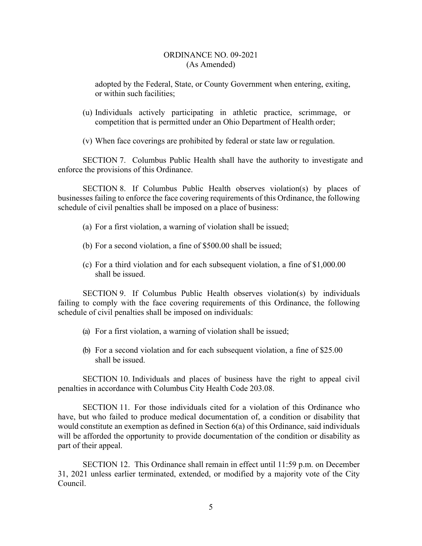adopted by the Federal, State, or County Government when entering, exiting, or within such facilities;

(u) Individuals actively participating in athletic practice, scrimmage, or competition that is permitted under an Ohio Department of Health order;

(v) When face coverings are prohibited by federal or state law or regulation.

SECTION 7. Columbus Public Health shall have the authority to investigate and enforce the provisions of this Ordinance.

SECTION 8. If Columbus Public Health observes violation(s) by places of businesses failing to enforce the face covering requirements of this Ordinance, the following schedule of civil penalties shall be imposed on a place of business:

- (a) For a first violation, a warning of violation shall be issued;
- (b) For a second violation, a fine of \$500.00 shall be issued;
- (c) For a third violation and for each subsequent violation, a fine of \$1,000.00 shall be issued.

SECTION 9. If Columbus Public Health observes violation(s) by individuals failing to comply with the face covering requirements of this Ordinance, the following schedule of civil penalties shall be imposed on individuals:

- (a) For a first violation, a warning of violation shall be issued;
- (b) For a second violation and for each subsequent violation, a fine of \$25.00 shall be issued.

SECTION 10. Individuals and places of business have the right to appeal civil penalties in accordance with Columbus City Health Code 203.08.

SECTION 11. For those individuals cited for a violation of this Ordinance who have, but who failed to produce medical documentation of, a condition or disability that would constitute an exemption as defined in Section 6(a) of this Ordinance, said individuals will be afforded the opportunity to provide documentation of the condition or disability as part of their appeal.

SECTION 12. This Ordinance shall remain in effect until 11:59 p.m. on December 31, 2021 unless earlier terminated, extended, or modified by a majority vote of the City Council.